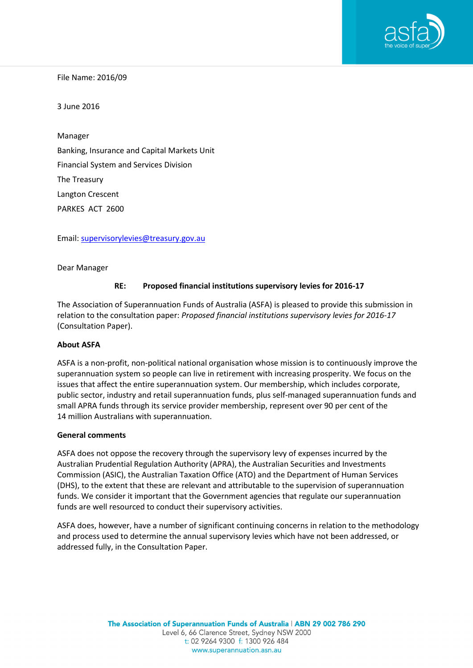

File Name: 2016/09

3 June 2016

Manager Banking, Insurance and Capital Markets Unit Financial System and Services Division The Treasury Langton Crescent PARKES ACT 2600

Email: [supervisorylevies@treasury.gov.au](mailto:supervisorylevies@treasury.gov.au)

Dear Manager

#### **RE: Proposed financial institutions supervisory levies for 2016-17**

The Association of Superannuation Funds of Australia (ASFA) is pleased to provide this submission in relation to the consultation paper: *Proposed financial institutions supervisory levies for 2016-17* (Consultation Paper).

#### **About ASFA**

ASFA is a non-profit, non-political national organisation whose mission is to continuously improve the superannuation system so people can live in retirement with increasing prosperity. We focus on the issues that affect the entire superannuation system. Our membership, which includes corporate, public sector, industry and retail superannuation funds, plus self-managed superannuation funds and small APRA funds through its service provider membership, represent over 90 per cent of the 14 million Australians with superannuation.

#### **General comments**

ASFA does not oppose the recovery through the supervisory levy of expenses incurred by the Australian Prudential Regulation Authority (APRA), the Australian Securities and Investments Commission (ASIC), the Australian Taxation Office (ATO) and the Department of Human Services (DHS), to the extent that these are relevant and attributable to the supervision of superannuation funds. We consider it important that the Government agencies that regulate our superannuation funds are well resourced to conduct their supervisory activities.

ASFA does, however, have a number of significant continuing concerns in relation to the methodology and process used to determine the annual supervisory levies which have not been addressed, or addressed fully, in the Consultation Paper.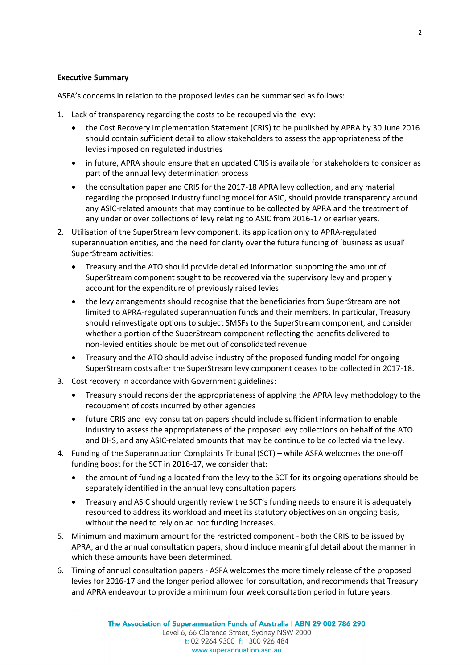## **Executive Summary**

ASFA's concerns in relation to the proposed levies can be summarised as follows:

- 1. Lack of transparency regarding the costs to be recouped via the levy:
	- the Cost Recovery Implementation Statement (CRIS) to be published by APRA by 30 June 2016 should contain sufficient detail to allow stakeholders to assess the appropriateness of the levies imposed on regulated industries
	- in future, APRA should ensure that an updated CRIS is available for stakeholders to consider as part of the annual levy determination process
	- the consultation paper and CRIS for the 2017-18 APRA levy collection, and any material regarding the proposed industry funding model for ASIC, should provide transparency around any ASIC-related amounts that may continue to be collected by APRA and the treatment of any under or over collections of levy relating to ASIC from 2016-17 or earlier years.
- 2. Utilisation of the SuperStream levy component, its application only to APRA-regulated superannuation entities, and the need for clarity over the future funding of 'business as usual' SuperStream activities:
	- Treasury and the ATO should provide detailed information supporting the amount of SuperStream component sought to be recovered via the supervisory levy and properly account for the expenditure of previously raised levies
	- the levy arrangements should recognise that the beneficiaries from SuperStream are not limited to APRA-regulated superannuation funds and their members. In particular, Treasury should reinvestigate options to subject SMSFs to the SuperStream component, and consider whether a portion of the SuperStream component reflecting the benefits delivered to non-levied entities should be met out of consolidated revenue
	- Treasury and the ATO should advise industry of the proposed funding model for ongoing SuperStream costs after the SuperStream levy component ceases to be collected in 2017-18.
- 3. Cost recovery in accordance with Government guidelines:
	- Treasury should reconsider the appropriateness of applying the APRA levy methodology to the recoupment of costs incurred by other agencies
	- future CRIS and levy consultation papers should include sufficient information to enable industry to assess the appropriateness of the proposed levy collections on behalf of the ATO and DHS, and any ASIC-related amounts that may be continue to be collected via the levy.
- 4. Funding of the Superannuation Complaints Tribunal (SCT) while ASFA welcomes the one-off funding boost for the SCT in 2016-17, we consider that:
	- the amount of funding allocated from the levy to the SCT for its ongoing operations should be separately identified in the annual levy consultation papers
	- Treasury and ASIC should urgently review the SCT's funding needs to ensure it is adequately resourced to address its workload and meet its statutory objectives on an ongoing basis, without the need to rely on ad hoc funding increases.
- 5. Minimum and maximum amount for the restricted component both the CRIS to be issued by APRA, and the annual consultation papers, should include meaningful detail about the manner in which these amounts have been determined.
- 6. Timing of annual consultation papers ASFA welcomes the more timely release of the proposed levies for 2016-17 and the longer period allowed for consultation, and recommends that Treasury and APRA endeavour to provide a minimum four week consultation period in future years.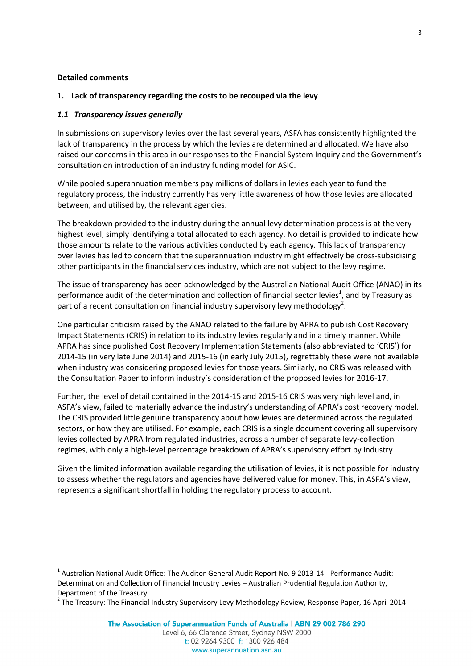#### **Detailed comments**

1

#### **1. Lack of transparency regarding the costs to be recouped via the levy**

#### *1.1 Transparency issues generally*

In submissions on supervisory levies over the last several years, ASFA has consistently highlighted the lack of transparency in the process by which the levies are determined and allocated. We have also raised our concerns in this area in our responses to the Financial System Inquiry and the Government's consultation on introduction of an industry funding model for ASIC.

While pooled superannuation members pay millions of dollars in levies each year to fund the regulatory process, the industry currently has very little awareness of how those levies are allocated between, and utilised by, the relevant agencies.

The breakdown provided to the industry during the annual levy determination process is at the very highest level, simply identifying a total allocated to each agency. No detail is provided to indicate how those amounts relate to the various activities conducted by each agency. This lack of transparency over levies has led to concern that the superannuation industry might effectively be cross-subsidising other participants in the financial services industry, which are not subject to the levy regime.

The issue of transparency has been acknowledged by the Australian National Audit Office (ANAO) in its performance audit of the determination and collection of financial sector levies<sup>1</sup>, and by Treasury as part of a recent consultation on financial industry supervisory levy methodology<sup>2</sup>.

One particular criticism raised by the ANAO related to the failure by APRA to publish Cost Recovery Impact Statements (CRIS) in relation to its industry levies regularly and in a timely manner. While APRA has since published Cost Recovery Implementation Statements (also abbreviated to 'CRIS') for 2014-15 (in very late June 2014) and 2015-16 (in early July 2015), regrettably these were not available when industry was considering proposed levies for those years. Similarly, no CRIS was released with the Consultation Paper to inform industry's consideration of the proposed levies for 2016-17.

Further, the level of detail contained in the 2014-15 and 2015-16 CRIS was very high level and, in ASFA's view, failed to materially advance the industry's understanding of APRA's cost recovery model. The CRIS provided little genuine transparency about how levies are determined across the regulated sectors, or how they are utilised. For example, each CRIS is a single document covering all supervisory levies collected by APRA from regulated industries, across a number of separate levy-collection regimes, with only a high-level percentage breakdown of APRA's supervisory effort by industry.

Given the limited information available regarding the utilisation of levies, it is not possible for industry to assess whether the regulators and agencies have delivered value for money. This, in ASFA's view, represents a significant shortfall in holding the regulatory process to account.

 $<sup>1</sup>$  Australian National Audit Office: The Auditor-General Audit Report No. 9 2013-14 - Performance Audit:</sup> Determination and Collection of Financial Industry Levies – Australian Prudential Regulation Authority, Department of the Treasury

<sup>&</sup>lt;sup>2</sup> The Treasury: The Financial Industry Supervisory Levy Methodology Review, Response Paper, 16 April 2014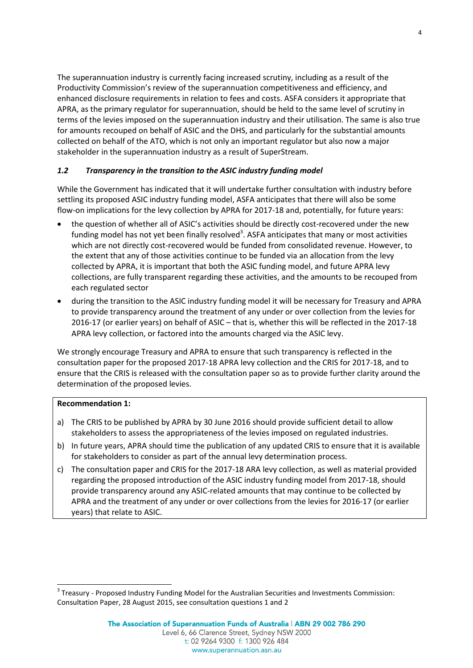The superannuation industry is currently facing increased scrutiny, including as a result of the Productivity Commission's review of the superannuation competitiveness and efficiency, and enhanced disclosure requirements in relation to fees and costs. ASFA considers it appropriate that APRA, as the primary regulator for superannuation, should be held to the same level of scrutiny in terms of the levies imposed on the superannuation industry and their utilisation. The same is also true for amounts recouped on behalf of ASIC and the DHS, and particularly for the substantial amounts collected on behalf of the ATO, which is not only an important regulator but also now a major stakeholder in the superannuation industry as a result of SuperStream.

## *1.2 Transparency in the transition to the ASIC industry funding model*

While the Government has indicated that it will undertake further consultation with industry before settling its proposed ASIC industry funding model, ASFA anticipates that there will also be some flow-on implications for the levy collection by APRA for 2017-18 and, potentially, for future years:

- the question of whether all of ASIC's activities should be directly cost-recovered under the new funding model has not yet been finally resolved<sup>3</sup>. ASFA anticipates that many or most activities which are not directly cost-recovered would be funded from consolidated revenue. However, to the extent that any of those activities continue to be funded via an allocation from the levy collected by APRA, it is important that both the ASIC funding model, and future APRA levy collections, are fully transparent regarding these activities, and the amounts to be recouped from each regulated sector
- during the transition to the ASIC industry funding model it will be necessary for Treasury and APRA to provide transparency around the treatment of any under or over collection from the levies for 2016-17 (or earlier years) on behalf of ASIC – that is, whether this will be reflected in the 2017-18 APRA levy collection, or factored into the amounts charged via the ASIC levy.

We strongly encourage Treasury and APRA to ensure that such transparency is reflected in the consultation paper for the proposed 2017-18 APRA levy collection and the CRIS for 2017-18, and to ensure that the CRIS is released with the consultation paper so as to provide further clarity around the determination of the proposed levies.

## **Recommendation 1:**

-

- a) The CRIS to be published by APRA by 30 June 2016 should provide sufficient detail to allow stakeholders to assess the appropriateness of the levies imposed on regulated industries.
- b) In future years, APRA should time the publication of any updated CRIS to ensure that it is available for stakeholders to consider as part of the annual levy determination process.
- c) The consultation paper and CRIS for the 2017-18 ARA levy collection, as well as material provided regarding the proposed introduction of the ASIC industry funding model from 2017-18, should provide transparency around any ASIC-related amounts that may continue to be collected by APRA and the treatment of any under or over collections from the levies for 2016-17 (or earlier years) that relate to ASIC.

<sup>&</sup>lt;sup>3</sup> Treasury - Proposed Industry Funding Model for the Australian Securities and Investments Commission: Consultation Paper, 28 August 2015, see consultation questions 1 and 2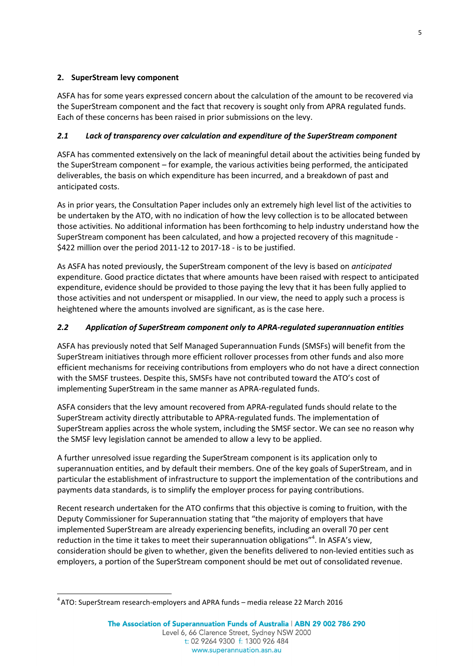# **2. SuperStream levy component**

ASFA has for some years expressed concern about the calculation of the amount to be recovered via the SuperStream component and the fact that recovery is sought only from APRA regulated funds. Each of these concerns has been raised in prior submissions on the levy.

# *2.1 Lack of transparency over calculation and expenditure of the SuperStream component*

ASFA has commented extensively on the lack of meaningful detail about the activities being funded by the SuperStream component – for example, the various activities being performed, the anticipated deliverables, the basis on which expenditure has been incurred, and a breakdown of past and anticipated costs.

As in prior years, the Consultation Paper includes only an extremely high level list of the activities to be undertaken by the ATO, with no indication of how the levy collection is to be allocated between those activities. No additional information has been forthcoming to help industry understand how the SuperStream component has been calculated, and how a projected recovery of this magnitude - \$422 million over the period 2011-12 to 2017-18 - is to be justified.

As ASFA has noted previously, the SuperStream component of the levy is based on *anticipated* expenditure. Good practice dictates that where amounts have been raised with respect to anticipated expenditure, evidence should be provided to those paying the levy that it has been fully applied to those activities and not underspent or misapplied. In our view, the need to apply such a process is heightened where the amounts involved are significant, as is the case here.

# *2.2 Application of SuperStream component only to APRA-regulated superannuation entities*

ASFA has previously noted that Self Managed Superannuation Funds (SMSFs) will benefit from the SuperStream initiatives through more efficient rollover processes from other funds and also more efficient mechanisms for receiving contributions from employers who do not have a direct connection with the SMSF trustees. Despite this, SMSFs have not contributed toward the ATO's cost of implementing SuperStream in the same manner as APRA-regulated funds.

ASFA considers that the levy amount recovered from APRA-regulated funds should relate to the SuperStream activity directly attributable to APRA-regulated funds. The implementation of SuperStream applies across the whole system, including the SMSF sector. We can see no reason why the SMSF levy legislation cannot be amended to allow a levy to be applied.

A further unresolved issue regarding the SuperStream component is its application only to superannuation entities, and by default their members. One of the key goals of SuperStream, and in particular the establishment of infrastructure to support the implementation of the contributions and payments data standards, is to simplify the employer process for paying contributions.

Recent research undertaken for the ATO confirms that this objective is coming to fruition, with the Deputy Commissioner for Superannuation stating that "the majority of employers that have implemented SuperStream are already experiencing benefits, including an overall 70 per cent reduction in the time it takes to meet their superannuation obligations"<sup>4</sup>. In ASFA's view, consideration should be given to whether, given the benefits delivered to non-levied entities such as employers, a portion of the SuperStream component should be met out of consolidated revenue.

<sup>1</sup>  $^4$ ATO: SuperStream research-employers and APRA funds – media release 22 March 2016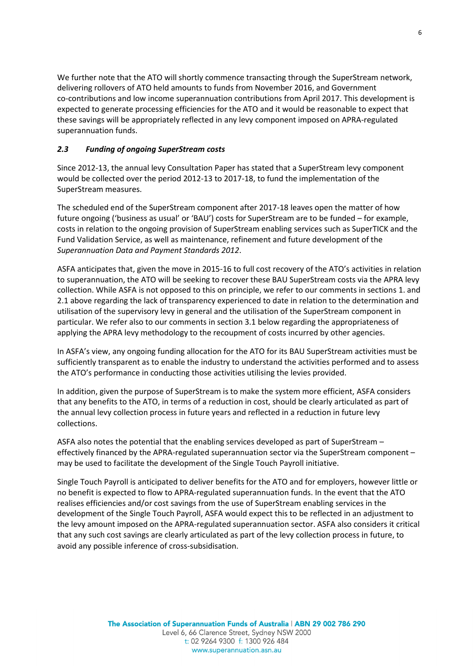We further note that the ATO will shortly commence transacting through the SuperStream network, delivering rollovers of ATO held amounts to funds from November 2016, and Government co-contributions and low income superannuation contributions from April 2017. This development is expected to generate processing efficiencies for the ATO and it would be reasonable to expect that these savings will be appropriately reflected in any levy component imposed on APRA-regulated superannuation funds.

## *2.3 Funding of ongoing SuperStream costs*

Since 2012-13, the annual levy Consultation Paper has stated that a SuperStream levy component would be collected over the period 2012-13 to 2017-18, to fund the implementation of the SuperStream measures.

The scheduled end of the SuperStream component after 2017-18 leaves open the matter of how future ongoing ('business as usual' or 'BAU') costs for SuperStream are to be funded – for example, costs in relation to the ongoing provision of SuperStream enabling services such as SuperTICK and the Fund Validation Service, as well as maintenance, refinement and future development of the *Superannuation Data and Payment Standards 2012*.

ASFA anticipates that, given the move in 2015-16 to full cost recovery of the ATO's activities in relation to superannuation, the ATO will be seeking to recover these BAU SuperStream costs via the APRA levy collection. While ASFA is not opposed to this on principle, we refer to our comments in sections 1. and 2.1 above regarding the lack of transparency experienced to date in relation to the determination and utilisation of the supervisory levy in general and the utilisation of the SuperStream component in particular. We refer also to our comments in section 3.1 below regarding the appropriateness of applying the APRA levy methodology to the recoupment of costs incurred by other agencies.

In ASFA's view, any ongoing funding allocation for the ATO for its BAU SuperStream activities must be sufficiently transparent as to enable the industry to understand the activities performed and to assess the ATO's performance in conducting those activities utilising the levies provided.

In addition, given the purpose of SuperStream is to make the system more efficient, ASFA considers that any benefits to the ATO, in terms of a reduction in cost, should be clearly articulated as part of the annual levy collection process in future years and reflected in a reduction in future levy collections.

ASFA also notes the potential that the enabling services developed as part of SuperStream – effectively financed by the APRA-regulated superannuation sector via the SuperStream component – may be used to facilitate the development of the Single Touch Payroll initiative.

Single Touch Payroll is anticipated to deliver benefits for the ATO and for employers, however little or no benefit is expected to flow to APRA-regulated superannuation funds. In the event that the ATO realises efficiencies and/or cost savings from the use of SuperStream enabling services in the development of the Single Touch Payroll, ASFA would expect this to be reflected in an adjustment to the levy amount imposed on the APRA-regulated superannuation sector. ASFA also considers it critical that any such cost savings are clearly articulated as part of the levy collection process in future, to avoid any possible inference of cross-subsidisation.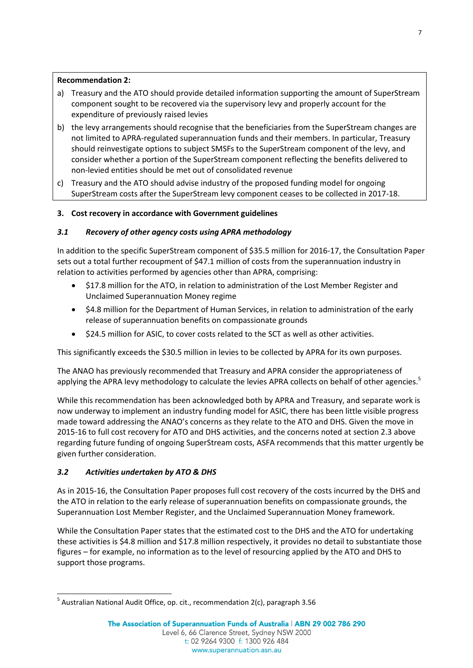# **Recommendation 2:**

- a) Treasury and the ATO should provide detailed information supporting the amount of SuperStream component sought to be recovered via the supervisory levy and properly account for the expenditure of previously raised levies
- b) the levy arrangements should recognise that the beneficiaries from the SuperStream changes are not limited to APRA-regulated superannuation funds and their members. In particular, Treasury should reinvestigate options to subject SMSFs to the SuperStream component of the levy, and consider whether a portion of the SuperStream component reflecting the benefits delivered to non-levied entities should be met out of consolidated revenue
- c) Treasury and the ATO should advise industry of the proposed funding model for ongoing SuperStream costs after the SuperStream levy component ceases to be collected in 2017-18.

# **3. Cost recovery in accordance with Government guidelines**

# *3.1 Recovery of other agency costs using APRA methodology*

In addition to the specific SuperStream component of \$35.5 million for 2016-17, the Consultation Paper sets out a total further recoupment of \$47.1 million of costs from the superannuation industry in relation to activities performed by agencies other than APRA, comprising:

- \$17.8 million for the ATO, in relation to administration of the Lost Member Register and Unclaimed Superannuation Money regime
- \$4.8 million for the Department of Human Services, in relation to administration of the early release of superannuation benefits on compassionate grounds
- \$24.5 million for ASIC, to cover costs related to the SCT as well as other activities.

This significantly exceeds the \$30.5 million in levies to be collected by APRA for its own purposes.

The ANAO has previously recommended that Treasury and APRA consider the appropriateness of applying the APRA levy methodology to calculate the levies APRA collects on behalf of other agencies.<sup>5</sup>

While this recommendation has been acknowledged both by APRA and Treasury, and separate work is now underway to implement an industry funding model for ASIC, there has been little visible progress made toward addressing the ANAO's concerns as they relate to the ATO and DHS. Given the move in 2015-16 to full cost recovery for ATO and DHS activities, and the concerns noted at section 2.3 above regarding future funding of ongoing SuperStream costs, ASFA recommends that this matter urgently be given further consideration.

# *3.2 Activities undertaken by ATO & DHS*

As in 2015-16, the Consultation Paper proposes full cost recovery of the costs incurred by the DHS and the ATO in relation to the early release of superannuation benefits on compassionate grounds, the Superannuation Lost Member Register, and the Unclaimed Superannuation Money framework.

While the Consultation Paper states that the estimated cost to the DHS and the ATO for undertaking these activities is \$4.8 million and \$17.8 million respectively, it provides no detail to substantiate those figures – for example, no information as to the level of resourcing applied by the ATO and DHS to support those programs.

<sup>1</sup> <sup>5</sup> Australian National Audit Office, op. cit., recommendation 2(c), paragraph 3.56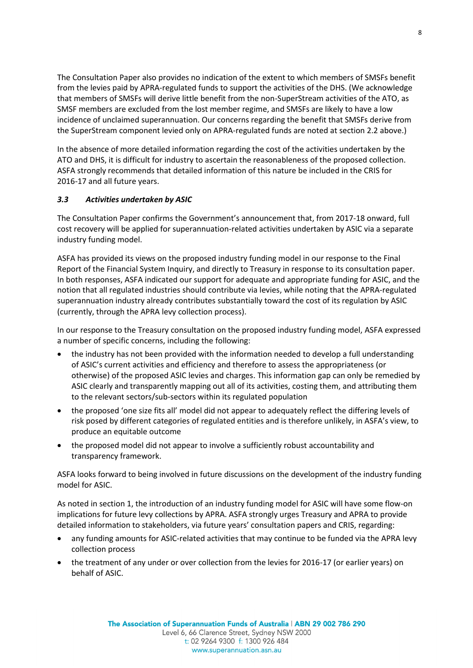The Consultation Paper also provides no indication of the extent to which members of SMSFs benefit from the levies paid by APRA-regulated funds to support the activities of the DHS. (We acknowledge that members of SMSFs will derive little benefit from the non-SuperStream activities of the ATO, as SMSF members are excluded from the lost member regime, and SMSFs are likely to have a low incidence of unclaimed superannuation. Our concerns regarding the benefit that SMSFs derive from the SuperStream component levied only on APRA-regulated funds are noted at section 2.2 above.)

In the absence of more detailed information regarding the cost of the activities undertaken by the ATO and DHS, it is difficult for industry to ascertain the reasonableness of the proposed collection. ASFA strongly recommends that detailed information of this nature be included in the CRIS for 2016-17 and all future years.

## *3.3 Activities undertaken by ASIC*

The Consultation Paper confirms the Government's announcement that, from 2017-18 onward, full cost recovery will be applied for superannuation-related activities undertaken by ASIC via a separate industry funding model.

ASFA has provided its views on the proposed industry funding model in our response to the Final Report of the Financial System Inquiry, and directly to Treasury in response to its consultation paper. In both responses, ASFA indicated our support for adequate and appropriate funding for ASIC, and the notion that all regulated industries should contribute via levies, while noting that the APRA-regulated superannuation industry already contributes substantially toward the cost of its regulation by ASIC (currently, through the APRA levy collection process).

In our response to the Treasury consultation on the proposed industry funding model, ASFA expressed a number of specific concerns, including the following:

- the industry has not been provided with the information needed to develop a full understanding of ASIC's current activities and efficiency and therefore to assess the appropriateness (or otherwise) of the proposed ASIC levies and charges. This information gap can only be remedied by ASIC clearly and transparently mapping out all of its activities, costing them, and attributing them to the relevant sectors/sub-sectors within its regulated population
- the proposed 'one size fits all' model did not appear to adequately reflect the differing levels of risk posed by different categories of regulated entities and is therefore unlikely, in ASFA's view, to produce an equitable outcome
- the proposed model did not appear to involve a sufficiently robust accountability and transparency framework.

ASFA looks forward to being involved in future discussions on the development of the industry funding model for ASIC.

As noted in section 1, the introduction of an industry funding model for ASIC will have some flow-on implications for future levy collections by APRA. ASFA strongly urges Treasury and APRA to provide detailed information to stakeholders, via future years' consultation papers and CRIS, regarding:

- any funding amounts for ASIC-related activities that may continue to be funded via the APRA levy collection process
- the treatment of any under or over collection from the levies for 2016-17 (or earlier years) on behalf of ASIC.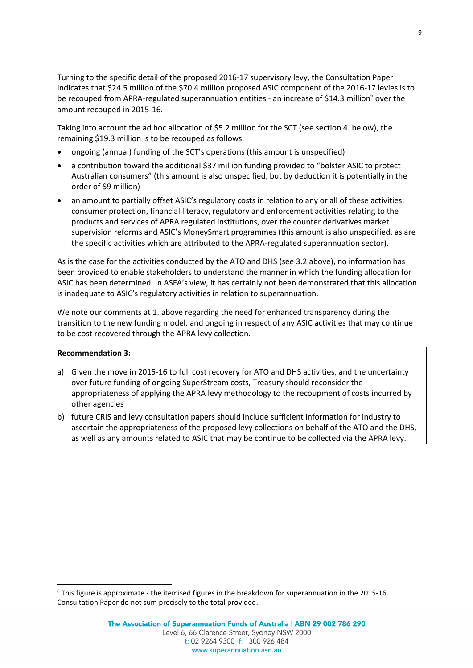Turning to the specific detail of the proposed 2016-17 supervisory levy, the Consultation Paper indicates that \$24.5 million of the \$70.4 million proposed ASIC component of the 2016-17 levies is to be recouped from APRA-regulated superannuation entities - an increase of \$14.3 million<sup>6</sup> over the amount recouped in 2015-16.

Taking into account the ad hoc allocation of \$5.2 million for the SCT (see section 4. below), the remaining \$19.3 million is to be recouped as follows:

- ongoing (annual) funding of the SCT's operations (this amount is unspecified)
- a contribution toward the additional \$37 million funding provided to "bolster ASIC to protect Australian consumers" (this amount is also unspecified, but by deduction it is potentially in the order of \$9 million)
- an amount to partially offset ASIC's regulatory costs in relation to any or all of these activities: consumer protection, financial literacy, regulatory and enforcement activities relating to the products and services of APRA regulated institutions, over the counter derivatives market supervision reforms and ASIC's MoneySmart programmes (this amount is also unspecified, as are the specific activities which are attributed to the APRA-regulated superannuation sector).

As is the case for the activities conducted by the ATO and DHS (see 3.2 above), no information has been provided to enable stakeholders to understand the manner in which the funding allocation for ASIC has been determined. In ASFA's view, it has certainly not been demonstrated that this allocation is inadequate to ASIC's regulatory activities in relation to superannuation.

We note our comments at 1. above regarding the need for enhanced transparency during the transition to the new funding model, and ongoing in respect of any ASIC activities that may continue to be cost recovered through the APRA levy collection.

#### **Recommendation 3:**

-

- a) Given the move in 2015-16 to full cost recovery for ATO and DHS activities, and the uncertainty over future funding of ongoing SuperStream costs, Treasury should reconsider the appropriateness of applying the APRA levy methodology to the recoupment of costs incurred by other agencies
- b) future CRIS and levy consultation papers should include sufficient information for industry to ascertain the appropriateness of the proposed levy collections on behalf of the ATO and the DHS, as well as any amounts related to ASIC that may be continue to be collected via the APRA levy.

 $6$  This figure is approximate - the itemised figures in the breakdown for superannuation in the 2015-16 Consultation Paper do not sum precisely to the total provided.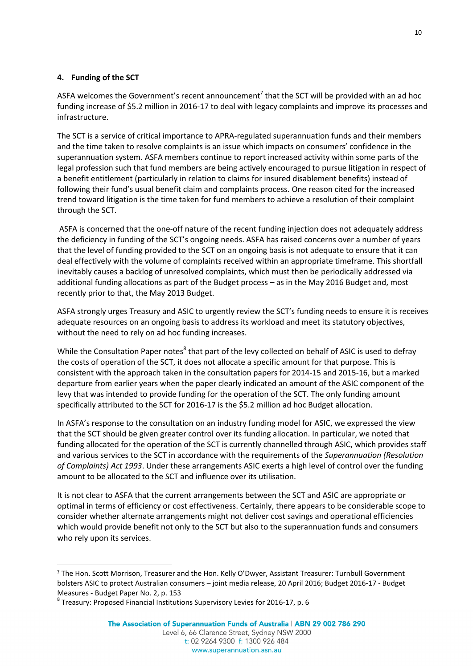## **4. Funding of the SCT**

ASFA welcomes the Government's recent announcement<sup>7</sup> that the SCT will be provided with an ad hoc funding increase of \$5.2 million in 2016-17 to deal with legacy complaints and improve its processes and infrastructure.

The SCT is a service of critical importance to APRA-regulated superannuation funds and their members and the time taken to resolve complaints is an issue which impacts on consumers' confidence in the superannuation system. ASFA members continue to report increased activity within some parts of the legal profession such that fund members are being actively encouraged to pursue litigation in respect of a benefit entitlement (particularly in relation to claims for insured disablement benefits) instead of following their fund's usual benefit claim and complaints process. One reason cited for the increased trend toward litigation is the time taken for fund members to achieve a resolution of their complaint through the SCT.

ASFA is concerned that the one-off nature of the recent funding injection does not adequately address the deficiency in funding of the SCT's ongoing needs. ASFA has raised concerns over a number of years that the level of funding provided to the SCT on an ongoing basis is not adequate to ensure that it can deal effectively with the volume of complaints received within an appropriate timeframe. This shortfall inevitably causes a backlog of unresolved complaints, which must then be periodically addressed via additional funding allocations as part of the Budget process – as in the May 2016 Budget and, most recently prior to that, the May 2013 Budget.

ASFA strongly urges Treasury and ASIC to urgently review the SCT's funding needs to ensure it is receives adequate resources on an ongoing basis to address its workload and meet its statutory objectives, without the need to rely on ad hoc funding increases.

While the Consultation Paper notes<sup>8</sup> that part of the levy collected on behalf of ASIC is used to defray the costs of operation of the SCT, it does not allocate a specific amount for that purpose. This is consistent with the approach taken in the consultation papers for 2014-15 and 2015-16, but a marked departure from earlier years when the paper clearly indicated an amount of the ASIC component of the levy that was intended to provide funding for the operation of the SCT. The only funding amount specifically attributed to the SCT for 2016-17 is the \$5.2 million ad hoc Budget allocation.

In ASFA's response to the consultation on an industry funding model for ASIC, we expressed the view that the SCT should be given greater control over its funding allocation. In particular, we noted that funding allocated for the operation of the SCT is currently channelled through ASIC, which provides staff and various services to the SCT in accordance with the requirements of the *Superannuation (Resolution of Complaints) Act 1993*. Under these arrangements ASIC exerts a high level of control over the funding amount to be allocated to the SCT and influence over its utilisation.

It is not clear to ASFA that the current arrangements between the SCT and ASIC are appropriate or optimal in terms of efficiency or cost effectiveness. Certainly, there appears to be considerable scope to consider whether alternate arrangements might not deliver cost savings and operational efficiencies which would provide benefit not only to the SCT but also to the superannuation funds and consumers who rely upon its services.

1

<sup>7</sup> The Hon. Scott Morrison, Treasurer and the Hon. Kelly O'Dwyer, Assistant Treasurer: Turnbull Government bolsters ASIC to protect Australian consumers – joint media release, 20 April 2016; Budget 2016-17 - Budget Measures - Budget Paper No. 2, p. 153

 $^8$  Treasury: Proposed Financial Institutions Supervisory Levies for 2016-17, p. 6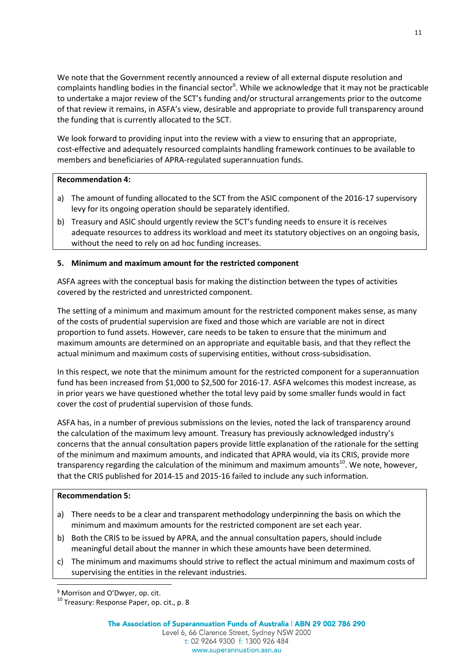We note that the Government recently announced a review of all external dispute resolution and complaints handling bodies in the financial sector<sup>9</sup>. While we acknowledge that it may not be practicable to undertake a major review of the SCT's funding and/or structural arrangements prior to the outcome of that review it remains, in ASFA's view, desirable and appropriate to provide full transparency around the funding that is currently allocated to the SCT.

We look forward to providing input into the review with a view to ensuring that an appropriate, cost-effective and adequately resourced complaints handling framework continues to be available to members and beneficiaries of APRA-regulated superannuation funds.

## **Recommendation 4:**

- a) The amount of funding allocated to the SCT from the ASIC component of the 2016-17 supervisory levy for its ongoing operation should be separately identified.
- b) Treasury and ASIC should urgently review the SCT's funding needs to ensure it is receives adequate resources to address its workload and meet its statutory objectives on an ongoing basis, without the need to rely on ad hoc funding increases.

# **5. Minimum and maximum amount for the restricted component**

ASFA agrees with the conceptual basis for making the distinction between the types of activities covered by the restricted and unrestricted component.

The setting of a minimum and maximum amount for the restricted component makes sense, as many of the costs of prudential supervision are fixed and those which are variable are not in direct proportion to fund assets. However, care needs to be taken to ensure that the minimum and maximum amounts are determined on an appropriate and equitable basis, and that they reflect the actual minimum and maximum costs of supervising entities, without cross-subsidisation.

In this respect, we note that the minimum amount for the restricted component for a superannuation fund has been increased from \$1,000 to \$2,500 for 2016-17. ASFA welcomes this modest increase, as in prior years we have questioned whether the total levy paid by some smaller funds would in fact cover the cost of prudential supervision of those funds.

ASFA has, in a number of previous submissions on the levies, noted the lack of transparency around the calculation of the maximum levy amount. Treasury has previously acknowledged industry's concerns that the annual consultation papers provide little explanation of the rationale for the setting of the minimum and maximum amounts, and indicated that APRA would, via its CRIS, provide more transparency regarding the calculation of the minimum and maximum amounts<sup>10</sup>. We note, however, that the CRIS published for 2014-15 and 2015-16 failed to include any such information.

## **Recommendation 5:**

-

- a) There needs to be a clear and transparent methodology underpinning the basis on which the minimum and maximum amounts for the restricted component are set each year.
- b) Both the CRIS to be issued by APRA, and the annual consultation papers, should include meaningful detail about the manner in which these amounts have been determined.
- c) The minimum and maximums should strive to reflect the actual minimum and maximum costs of supervising the entities in the relevant industries.

<sup>9</sup> Morrison and O'Dwyer, op. cit.

 $10$  Treasury: Response Paper, op. cit., p. 8